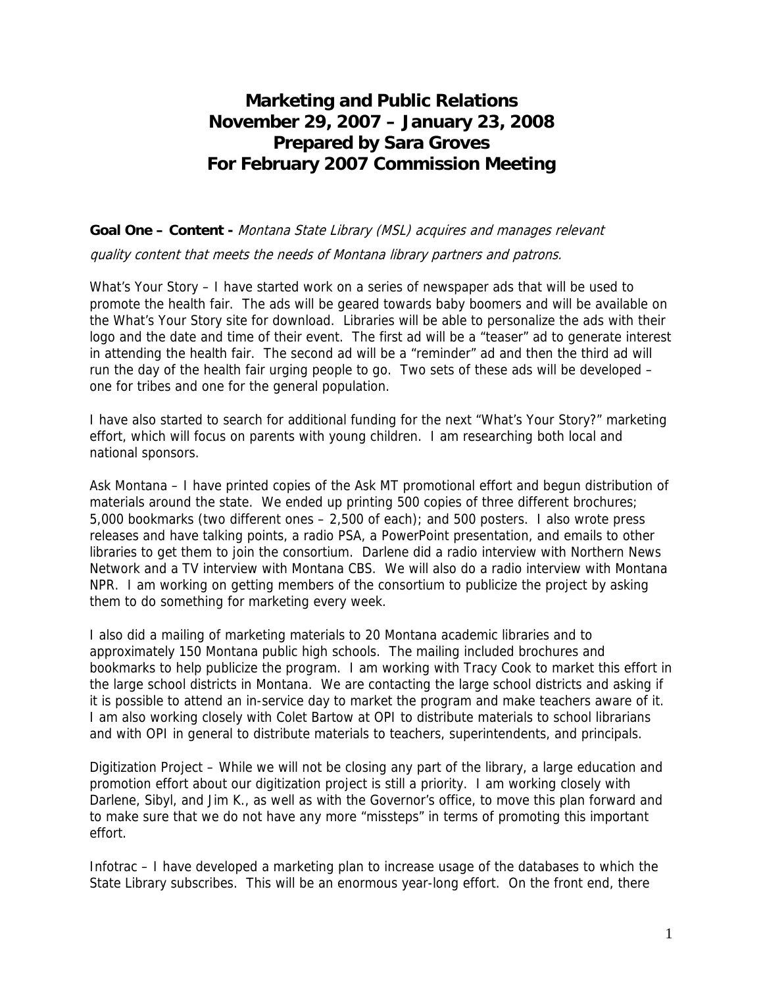## **Marketing and Public Relations November 29, 2007 – January 23, 2008 Prepared by Sara Groves For February 2007 Commission Meeting**

**Goal One – Content -** Montana State Library (MSL) acquires and manages relevant

quality content that meets the needs of Montana library partners and patrons.

What's Your Story – I have started work on a series of newspaper ads that will be used to promote the health fair. The ads will be geared towards baby boomers and will be available on the What's Your Story site for download. Libraries will be able to personalize the ads with their logo and the date and time of their event. The first ad will be a "teaser" ad to generate interest in attending the health fair. The second ad will be a "reminder" ad and then the third ad will run the day of the health fair urging people to go. Two sets of these ads will be developed – one for tribes and one for the general population.

I have also started to search for additional funding for the next "What's Your Story?" marketing effort, which will focus on parents with young children. I am researching both local and national sponsors.

Ask Montana – I have printed copies of the Ask MT promotional effort and begun distribution of materials around the state. We ended up printing 500 copies of three different brochures; 5,000 bookmarks (two different ones – 2,500 of each); and 500 posters. I also wrote press releases and have talking points, a radio PSA, a PowerPoint presentation, and emails to other libraries to get them to join the consortium. Darlene did a radio interview with Northern News Network and a TV interview with Montana CBS. We will also do a radio interview with Montana NPR. I am working on getting members of the consortium to publicize the project by asking them to do something for marketing every week.

I also did a mailing of marketing materials to 20 Montana academic libraries and to approximately 150 Montana public high schools. The mailing included brochures and bookmarks to help publicize the program. I am working with Tracy Cook to market this effort in the large school districts in Montana. We are contacting the large school districts and asking if it is possible to attend an in-service day to market the program and make teachers aware of it. I am also working closely with Colet Bartow at OPI to distribute materials to school librarians and with OPI in general to distribute materials to teachers, superintendents, and principals.

Digitization Project – While we will not be closing any part of the library, a large education and promotion effort about our digitization project is still a priority. I am working closely with Darlene, Sibyl, and Jim K., as well as with the Governor's office, to move this plan forward and to make sure that we do not have any more "missteps" in terms of promoting this important effort.

Infotrac – I have developed a marketing plan to increase usage of the databases to which the State Library subscribes. This will be an enormous year-long effort. On the front end, there